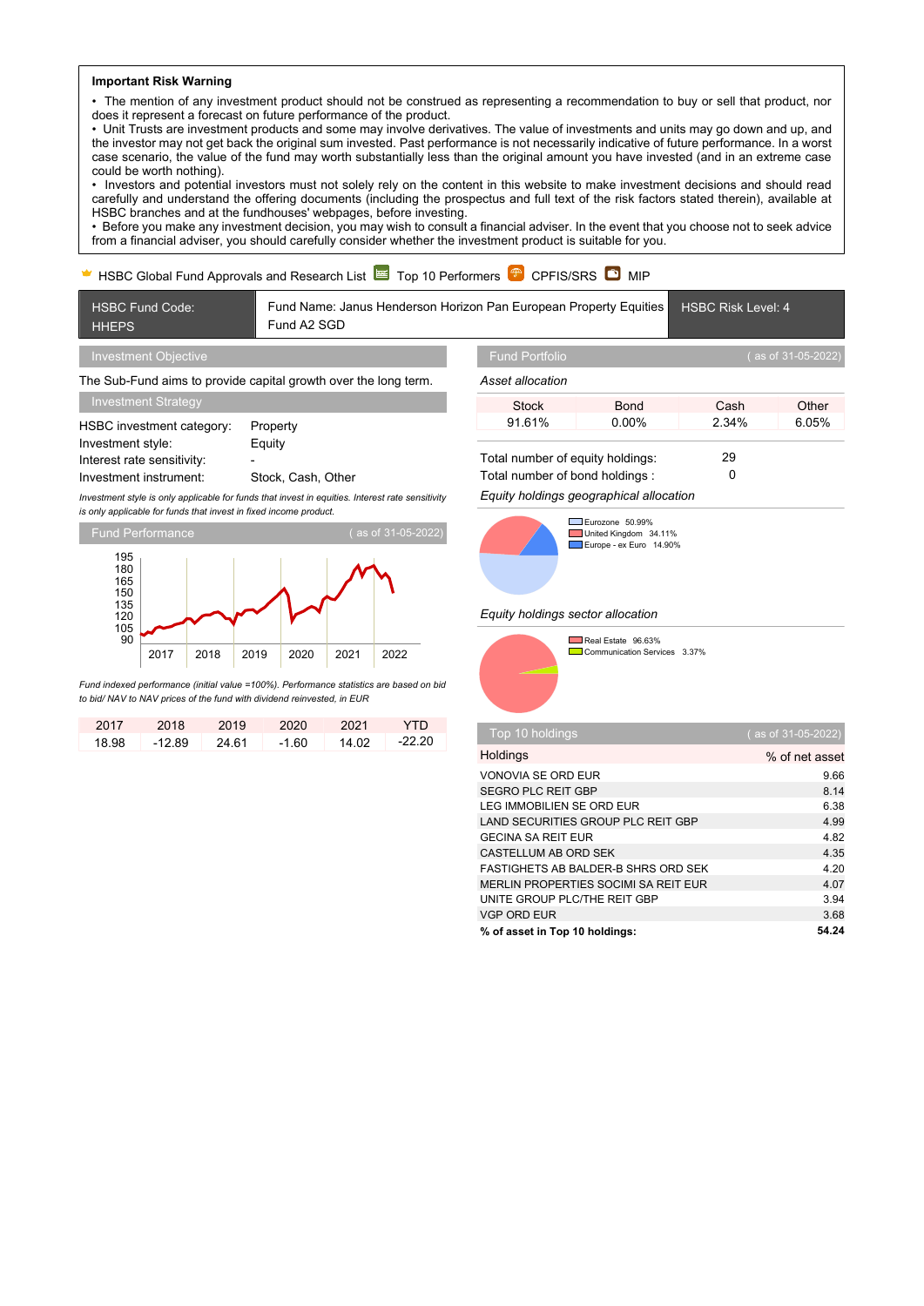#### **Important Risk Warning**

• The mention of any investment product should not be construed as representing a recommendation to buy or sell that product, nor does it represent a forecast on future performance of the product.

• Unit Trusts are investment products and some may involve derivatives. The value of investments and units may go down and up, and the investor may not get back the original sum invested. Past performance is not necessarily indicative of future performance. In a worst case scenario, the value of the fund may worth substantially less than the original amount you have invested (and in an extreme case could be worth nothing).

• Investors and potential investors must not solely rely on the content in this website to make investment decisions and should read carefully and understand the offering documents (including the prospectus and full text of the risk factors stated therein), available at HSBC branches and at the fundhouses' webpages, before investing.

• Before you make any investment decision, you may wish to consult a financial adviser. In the event that you choose not to seek advice from a financial adviser, you should carefully consider whether the investment product is suitable for you.

# $\blacktriangleright$  HSBC Global Fund Approvals and Research List  $\blacktriangleright$  Top 10 Performers  $\widehat{\blacklozenge}$  CPFIS/SRS  $\widehat{\blacklozenge}$  MIP

HSBC Fund Code: **HHEPS** Fund Name: Janus Henderson Horizon Pan European Property Equities Fund A2 SGD HSBC Risk Level: 4 Investment Objective

The Sub-Fund aims to provide capital growth over the long term.

| Investment Strategy        |                    |
|----------------------------|--------------------|
| HSBC investment category:  | Property           |
| Investment style:          | Equity             |
| Interest rate sensitivity: |                    |
| Investment instrument:     | Stock, Cash, Other |

*Investment style is only applicable for funds that invest in equities. Interest rate sensitivity is only applicable for funds that invest in fixed income product.*



*Fund indexed performance (initial value =100%). Performance statistics are based on bid to bid/ NAV to NAV prices of the fund with dividend reinvested, in EUR*

| 2017  | 2018     | 2019  | 2020  | 2021  | YTN      |
|-------|----------|-------|-------|-------|----------|
| 18.98 | $-12.89$ | 24.61 | -1.60 | 14.02 | $-22.20$ |

*Asset allocation*

| Other<br>Stock<br>Cash<br>Bond       |  |
|--------------------------------------|--|
| 2.34%<br>6.05%<br>91.61%<br>$0.00\%$ |  |

Total number of equity holdings: 29

Total number of bond holdings : 0

*Equity holdings geographical allocation*



Eurozone 50.99% United Kingdom 34.11% Europe - ex Euro 14.90%

### *Equity holdings sector allocation*



**Communication Services** 3.37%

| Top 10 holdings                            | (as of 31-05-2022) |
|--------------------------------------------|--------------------|
| Holdings                                   | % of net asset     |
| <b>VONOVIA SE ORD EUR</b>                  | 9.66               |
| SEGRO PLC REIT GBP                         | 8.14               |
| LEG IMMOBILIEN SE ORD EUR                  | 6.38               |
| LAND SECURITIES GROUP PLC REIT GBP         | 4.99               |
| <b>GECINA SA REIT EUR</b>                  | 4.82               |
| CASTELLUM AB ORD SEK                       | 4.35               |
| <b>FASTIGHETS AB BALDER-B SHRS ORD SEK</b> | 4.20               |
| MERLIN PROPERTIES SOCIMI SA REIT EUR       | 4.07               |
| UNITE GROUP PLC/THE REIT GBP               | 3.94               |
| <b>VGP ORD EUR</b>                         | 3.68               |
| % of asset in Top 10 holdings:             | 54.24              |